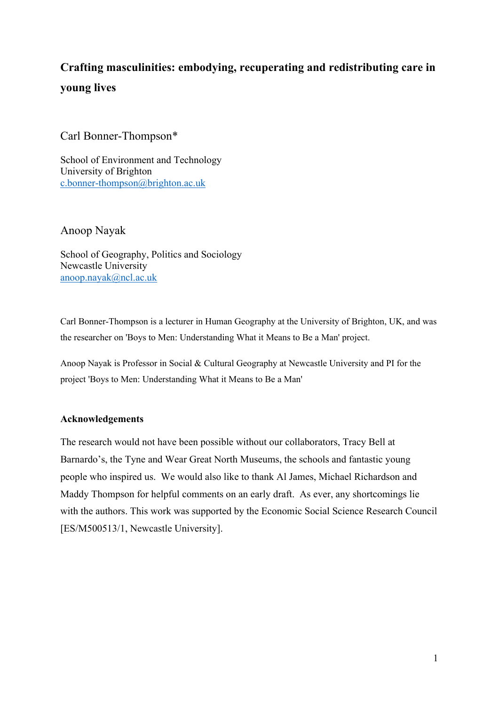# **Crafting masculinities: embodying, recuperating and redistributing care in young lives**

Carl Bonner-Thompson\*

School of Environment and Technology University of Brighton [c.bonner-thompson@brighton.ac.uk](mailto:c.bonner-thompson@brighton.ac.uk)

Anoop Nayak

School of Geography, Politics and Sociology Newcastle University [anoop.nayak@ncl.ac.uk](mailto:anoop.nayak@ncl.ac.uk)

Carl Bonner-Thompson is a lecturer in Human Geography at the University of Brighton, UK, and was the researcher on 'Boys to Men: Understanding What it Means to Be a Man' project.

Anoop Nayak is Professor in Social & Cultural Geography at Newcastle University and PI for the project 'Boys to Men: Understanding What it Means to Be a Man'

### **Acknowledgements**

The research would not have been possible without our collaborators, Tracy Bell at Barnardo's, the Tyne and Wear Great North Museums, the schools and fantastic young people who inspired us. We would also like to thank Al James, Michael Richardson and Maddy Thompson for helpful comments on an early draft. As ever, any shortcomings lie with the authors. This work was supported by the Economic Social Science Research Council [ES/M500513/1, Newcastle University].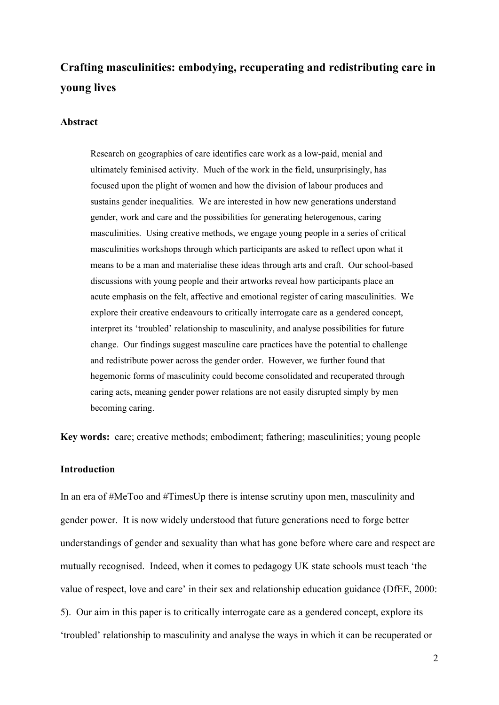## **Crafting masculinities: embodying, recuperating and redistributing care in young lives**

#### **Abstract**

Research on geographies of care identifies care work as a low-paid, menial and ultimately feminised activity. Much of the work in the field, unsurprisingly, has focused upon the plight of women and how the division of labour produces and sustains gender inequalities. We are interested in how new generations understand gender, work and care and the possibilities for generating heterogenous, caring masculinities. Using creative methods, we engage young people in a series of critical masculinities workshops through which participants are asked to reflect upon what it means to be a man and materialise these ideas through arts and craft. Our school-based discussions with young people and their artworks reveal how participants place an acute emphasis on the felt, affective and emotional register of caring masculinities. We explore their creative endeavours to critically interrogate care as a gendered concept, interpret its 'troubled' relationship to masculinity, and analyse possibilities for future change. Our findings suggest masculine care practices have the potential to challenge and redistribute power across the gender order. However, we further found that hegemonic forms of masculinity could become consolidated and recuperated through caring acts, meaning gender power relations are not easily disrupted simply by men becoming caring.

**Key words:** care; creative methods; embodiment; fathering; masculinities; young people

#### **Introduction**

In an era of #MeToo and #TimesUp there is intense scrutiny upon men, masculinity and gender power. It is now widely understood that future generations need to forge better understandings of gender and sexuality than what has gone before where care and respect are mutually recognised. Indeed, when it comes to pedagogy UK state schools must teach 'the value of respect, love and care' in their sex and relationship education guidance (DfEE, 2000: 5). Our aim in this paper is to critically interrogate care as a gendered concept, explore its 'troubled' relationship to masculinity and analyse the ways in which it can be recuperated or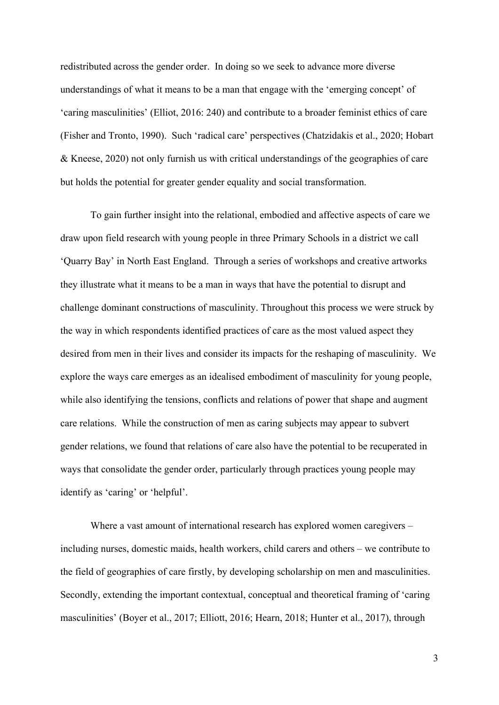redistributed across the gender order. In doing so we seek to advance more diverse understandings of what it means to be a man that engage with the 'emerging concept' of 'caring masculinities' (Elliot, 2016: 240) and contribute to a broader feminist ethics of care (Fisher and Tronto, 1990). Such 'radical care' perspectives (Chatzidakis et al., 2020; Hobart & Kneese, 2020) not only furnish us with critical understandings of the geographies of care but holds the potential for greater gender equality and social transformation.

To gain further insight into the relational, embodied and affective aspects of care we draw upon field research with young people in three Primary Schools in a district we call 'Quarry Bay' in North East England. Through a series of workshops and creative artworks they illustrate what it means to be a man in ways that have the potential to disrupt and challenge dominant constructions of masculinity. Throughout this process we were struck by the way in which respondents identified practices of care as the most valued aspect they desired from men in their lives and consider its impacts for the reshaping of masculinity. We explore the ways care emerges as an idealised embodiment of masculinity for young people, while also identifying the tensions, conflicts and relations of power that shape and augment care relations. While the construction of men as caring subjects may appear to subvert gender relations, we found that relations of care also have the potential to be recuperated in ways that consolidate the gender order, particularly through practices young people may identify as 'caring' or 'helpful'.

Where a vast amount of international research has explored women caregivers – including nurses, domestic maids, health workers, child carers and others – we contribute to the field of geographies of care firstly, by developing scholarship on men and masculinities. Secondly, extending the important contextual, conceptual and theoretical framing of 'caring masculinities' (Boyer et al., 2017; Elliott, 2016; Hearn, 2018; Hunter et al., 2017), through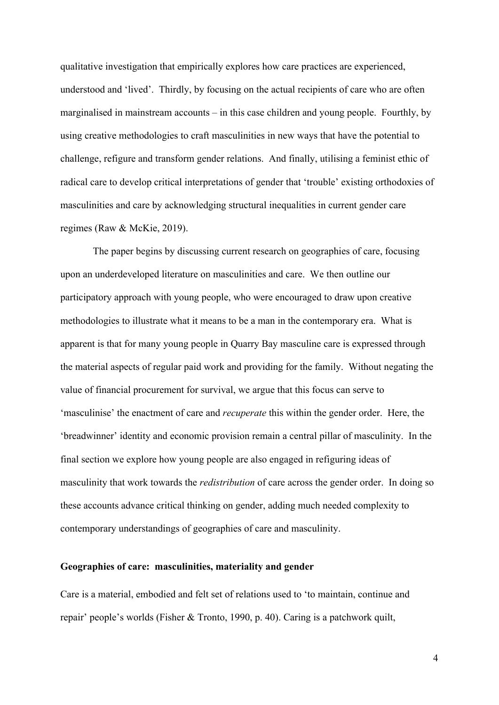qualitative investigation that empirically explores how care practices are experienced, understood and 'lived'. Thirdly, by focusing on the actual recipients of care who are often marginalised in mainstream accounts – in this case children and young people. Fourthly, by using creative methodologies to craft masculinities in new ways that have the potential to challenge, refigure and transform gender relations. And finally, utilising a feminist ethic of radical care to develop critical interpretations of gender that 'trouble' existing orthodoxies of masculinities and care by acknowledging structural inequalities in current gender care regimes (Raw & McKie, 2019).

The paper begins by discussing current research on geographies of care, focusing upon an underdeveloped literature on masculinities and care. We then outline our participatory approach with young people, who were encouraged to draw upon creative methodologies to illustrate what it means to be a man in the contemporary era. What is apparent is that for many young people in Quarry Bay masculine care is expressed through the material aspects of regular paid work and providing for the family. Without negating the value of financial procurement for survival, we argue that this focus can serve to 'masculinise' the enactment of care and *recuperate* this within the gender order. Here, the 'breadwinner' identity and economic provision remain a central pillar of masculinity. In the final section we explore how young people are also engaged in refiguring ideas of masculinity that work towards the *redistribution* of care across the gender order. In doing so these accounts advance critical thinking on gender, adding much needed complexity to contemporary understandings of geographies of care and masculinity.

#### **Geographies of care: masculinities, materiality and gender**

Care is a material, embodied and felt set of relations used to 'to maintain, continue and repair' people's worlds (Fisher & Tronto, 1990, p. 40). Caring is a patchwork quilt,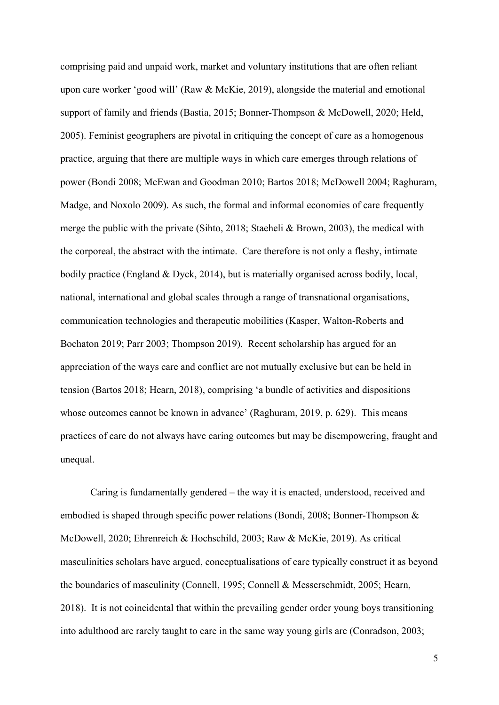comprising paid and unpaid work, market and voluntary institutions that are often reliant upon care worker 'good will' (Raw & McKie, 2019), alongside the material and emotional support of family and friends (Bastia, 2015; Bonner-Thompson & McDowell, 2020; Held, 2005). Feminist geographers are pivotal in critiquing the concept of care as a homogenous practice, arguing that there are multiple ways in which care emerges through relations of power (Bondi 2008; McEwan and Goodman 2010; Bartos 2018; McDowell 2004; Raghuram, Madge, and Noxolo 2009). As such, the formal and informal economies of care frequently merge the public with the private (Sihto, 2018; Staeheli & Brown, 2003), the medical with the corporeal, the abstract with the intimate. Care therefore is not only a fleshy, intimate bodily practice (England & Dyck, 2014), but is materially organised across bodily, local, national, international and global scales through a range of transnational organisations, communication technologies and therapeutic mobilities (Kasper, Walton-Roberts and Bochaton 2019; Parr 2003; Thompson 2019). Recent scholarship has argued for an appreciation of the ways care and conflict are not mutually exclusive but can be held in tension (Bartos 2018; Hearn, 2018), comprising 'a bundle of activities and dispositions whose outcomes cannot be known in advance' (Raghuram, 2019, p. 629). This means practices of care do not always have caring outcomes but may be disempowering, fraught and unequal.

Caring is fundamentally gendered – the way it is enacted, understood, received and embodied is shaped through specific power relations (Bondi, 2008; Bonner-Thompson & McDowell, 2020; Ehrenreich & Hochschild, 2003; Raw & McKie, 2019). As critical masculinities scholars have argued, conceptualisations of care typically construct it as beyond the boundaries of masculinity (Connell, 1995; Connell & Messerschmidt, 2005; Hearn, 2018). It is not coincidental that within the prevailing gender order young boys transitioning into adulthood are rarely taught to care in the same way young girls are (Conradson, 2003;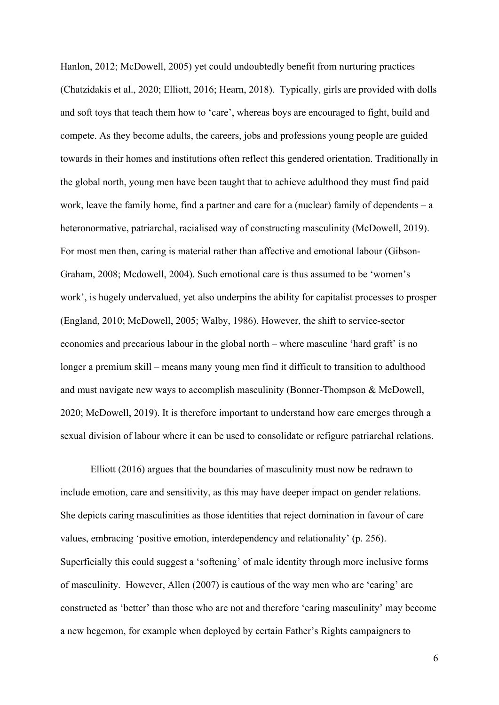Hanlon, 2012; McDowell, 2005) yet could undoubtedly benefit from nurturing practices (Chatzidakis et al., 2020; Elliott, 2016; Hearn, 2018). Typically, girls are provided with dolls and soft toys that teach them how to 'care', whereas boys are encouraged to fight, build and compete. As they become adults, the careers, jobs and professions young people are guided towards in their homes and institutions often reflect this gendered orientation. Traditionally in the global north, young men have been taught that to achieve adulthood they must find paid work, leave the family home, find a partner and care for a (nuclear) family of dependents  $-$  a heteronormative, patriarchal, racialised way of constructing masculinity (McDowell, 2019). For most men then, caring is material rather than affective and emotional labour (Gibson-Graham, 2008; Mcdowell, 2004). Such emotional care is thus assumed to be 'women's work', is hugely undervalued, yet also underpins the ability for capitalist processes to prosper (England, 2010; McDowell, 2005; Walby, 1986). However, the shift to service-sector economies and precarious labour in the global north – where masculine 'hard graft' is no longer a premium skill – means many young men find it difficult to transition to adulthood and must navigate new ways to accomplish masculinity (Bonner-Thompson & McDowell, 2020; McDowell, 2019). It is therefore important to understand how care emerges through a sexual division of labour where it can be used to consolidate or refigure patriarchal relations.

Elliott (2016) argues that the boundaries of masculinity must now be redrawn to include emotion, care and sensitivity, as this may have deeper impact on gender relations. She depicts caring masculinities as those identities that reject domination in favour of care values, embracing 'positive emotion, interdependency and relationality' (p. 256). Superficially this could suggest a 'softening' of male identity through more inclusive forms of masculinity. However, Allen (2007) is cautious of the way men who are 'caring' are constructed as 'better' than those who are not and therefore 'caring masculinity' may become a new hegemon, for example when deployed by certain Father's Rights campaigners to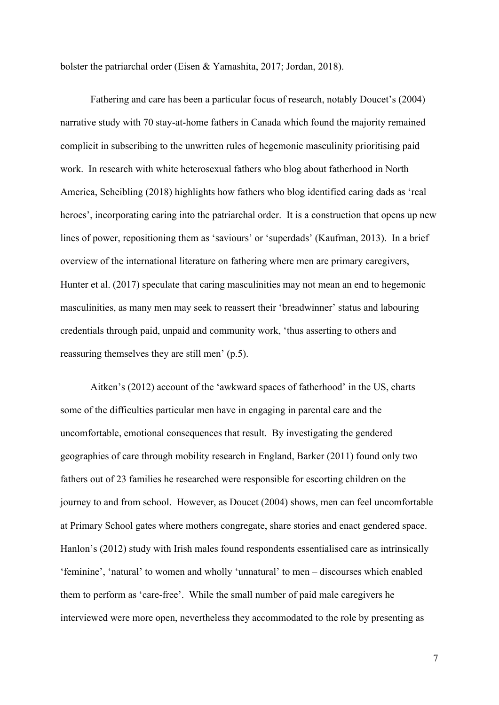bolster the patriarchal order (Eisen & Yamashita, 2017; Jordan, 2018).

Fathering and care has been a particular focus of research, notably Doucet's (2004) narrative study with 70 stay-at-home fathers in Canada which found the majority remained complicit in subscribing to the unwritten rules of hegemonic masculinity prioritising paid work. In research with white heterosexual fathers who blog about fatherhood in North America, Scheibling (2018) highlights how fathers who blog identified caring dads as 'real heroes', incorporating caring into the patriarchal order. It is a construction that opens up new lines of power, repositioning them as 'saviours' or 'superdads' (Kaufman, 2013). In a brief overview of the international literature on fathering where men are primary caregivers, Hunter et al. (2017) speculate that caring masculinities may not mean an end to hegemonic masculinities, as many men may seek to reassert their 'breadwinner' status and labouring credentials through paid, unpaid and community work, 'thus asserting to others and reassuring themselves they are still men' (p.5).

Aitken's (2012) account of the 'awkward spaces of fatherhood' in the US, charts some of the difficulties particular men have in engaging in parental care and the uncomfortable, emotional consequences that result. By investigating the gendered geographies of care through mobility research in England, Barker (2011) found only two fathers out of 23 families he researched were responsible for escorting children on the journey to and from school. However, as Doucet (2004) shows, men can feel uncomfortable at Primary School gates where mothers congregate, share stories and enact gendered space. Hanlon's (2012) study with Irish males found respondents essentialised care as intrinsically 'feminine', 'natural' to women and wholly 'unnatural' to men – discourses which enabled them to perform as 'care-free'. While the small number of paid male caregivers he interviewed were more open, nevertheless they accommodated to the role by presenting as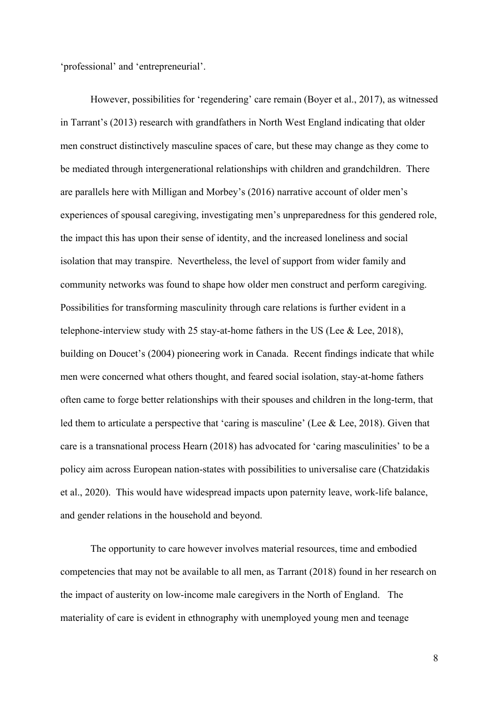'professional' and 'entrepreneurial'.

However, possibilities for 'regendering' care remain (Boyer et al., 2017), as witnessed in Tarrant's (2013) research with grandfathers in North West England indicating that older men construct distinctively masculine spaces of care, but these may change as they come to be mediated through intergenerational relationships with children and grandchildren. There are parallels here with Milligan and Morbey's (2016) narrative account of older men's experiences of spousal caregiving, investigating men's unpreparedness for this gendered role, the impact this has upon their sense of identity, and the increased loneliness and social isolation that may transpire. Nevertheless, the level of support from wider family and community networks was found to shape how older men construct and perform caregiving. Possibilities for transforming masculinity through care relations is further evident in a telephone-interview study with 25 stay-at-home fathers in the US (Lee  $&$  Lee, 2018), building on Doucet's (2004) pioneering work in Canada. Recent findings indicate that while men were concerned what others thought, and feared social isolation, stay-at-home fathers often came to forge better relationships with their spouses and children in the long-term, that led them to articulate a perspective that 'caring is masculine' (Lee & Lee, 2018). Given that care is a transnational process Hearn (2018) has advocated for 'caring masculinities' to be a policy aim across European nation-states with possibilities to universalise care (Chatzidakis et al., 2020). This would have widespread impacts upon paternity leave, work-life balance, and gender relations in the household and beyond.

The opportunity to care however involves material resources, time and embodied competencies that may not be available to all men, as Tarrant (2018) found in her research on the impact of austerity on low-income male caregivers in the North of England. The materiality of care is evident in ethnography with unemployed young men and teenage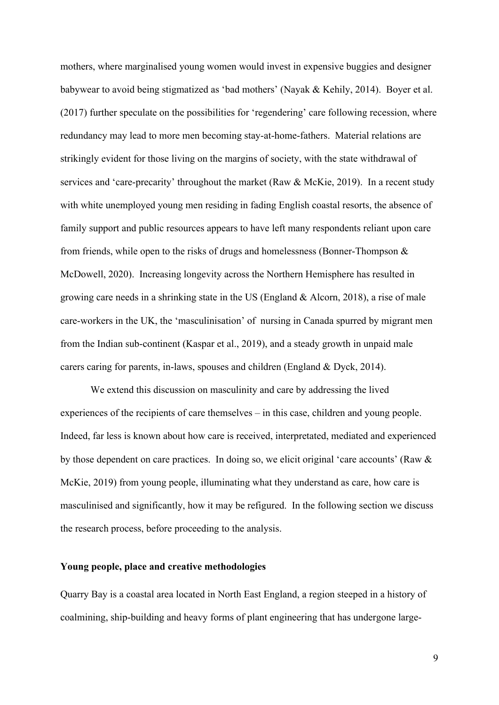mothers, where marginalised young women would invest in expensive buggies and designer babywear to avoid being stigmatized as 'bad mothers' (Nayak & Kehily, 2014). Boyer et al. (2017) further speculate on the possibilities for 'regendering' care following recession, where redundancy may lead to more men becoming stay-at-home-fathers. Material relations are strikingly evident for those living on the margins of society, with the state withdrawal of services and 'care-precarity' throughout the market (Raw & McKie, 2019). In a recent study with white unemployed young men residing in fading English coastal resorts, the absence of family support and public resources appears to have left many respondents reliant upon care from friends, while open to the risks of drugs and homelessness (Bonner-Thompson & McDowell, 2020). Increasing longevity across the Northern Hemisphere has resulted in growing care needs in a shrinking state in the US (England & Alcorn, 2018), a rise of male care-workers in the UK, the 'masculinisation' of nursing in Canada spurred by migrant men from the Indian sub-continent (Kaspar et al., 2019), and a steady growth in unpaid male carers caring for parents, in-laws, spouses and children (England & Dyck, 2014).

We extend this discussion on masculinity and care by addressing the lived experiences of the recipients of care themselves – in this case, children and young people. Indeed, far less is known about how care is received, interpretated, mediated and experienced by those dependent on care practices. In doing so, we elicit original 'care accounts' (Raw & McKie, 2019) from young people, illuminating what they understand as care, how care is masculinised and significantly, how it may be refigured. In the following section we discuss the research process, before proceeding to the analysis.

#### **Young people, place and creative methodologies**

Quarry Bay is a coastal area located in North East England, a region steeped in a history of coalmining, ship-building and heavy forms of plant engineering that has undergone large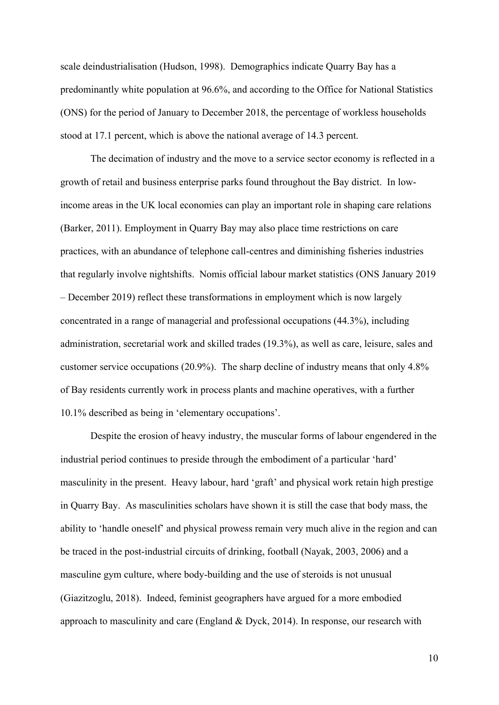scale deindustrialisation (Hudson, 1998). Demographics indicate Quarry Bay has a predominantly white population at 96.6%, and according to the Office for National Statistics (ONS) for the period of January to December 2018, the percentage of workless households stood at 17.1 percent, which is above the national average of 14.3 percent.

The decimation of industry and the move to a service sector economy is reflected in a growth of retail and business enterprise parks found throughout the Bay district. In lowincome areas in the UK local economies can play an important role in shaping care relations (Barker, 2011). Employment in Quarry Bay may also place time restrictions on care practices, with an abundance of telephone call-centres and diminishing fisheries industries that regularly involve nightshifts. Nomis official labour market statistics (ONS January 2019 – December 2019) reflect these transformations in employment which is now largely concentrated in a range of managerial and professional occupations (44.3%), including administration, secretarial work and skilled trades (19.3%), as well as care, leisure, sales and customer service occupations (20.9%). The sharp decline of industry means that only 4.8% of Bay residents currently work in process plants and machine operatives, with a further 10.1% described as being in 'elementary occupations'.

Despite the erosion of heavy industry, the muscular forms of labour engendered in the industrial period continues to preside through the embodiment of a particular 'hard' masculinity in the present. Heavy labour, hard 'graft' and physical work retain high prestige in Quarry Bay. As masculinities scholars have shown it is still the case that body mass, the ability to 'handle oneself' and physical prowess remain very much alive in the region and can be traced in the post-industrial circuits of drinking, football (Nayak, 2003, 2006) and a masculine gym culture, where body-building and the use of steroids is not unusual (Giazitzoglu, 2018). Indeed, feminist geographers have argued for a more embodied approach to masculinity and care (England & Dyck, 2014). In response, our research with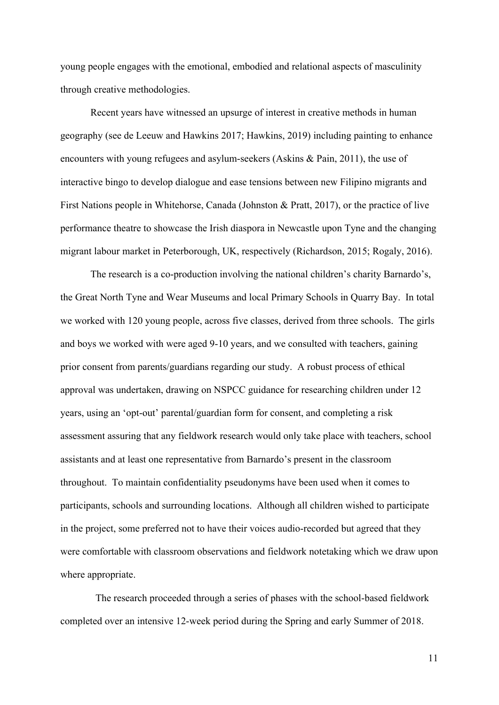young people engages with the emotional, embodied and relational aspects of masculinity through creative methodologies.

Recent years have witnessed an upsurge of interest in creative methods in human geography (see de Leeuw and Hawkins 2017; Hawkins, 2019) including painting to enhance encounters with young refugees and asylum-seekers (Askins & Pain, 2011), the use of interactive bingo to develop dialogue and ease tensions between new Filipino migrants and First Nations people in Whitehorse, Canada (Johnston & Pratt, 2017), or the practice of live performance theatre to showcase the Irish diaspora in Newcastle upon Tyne and the changing migrant labour market in Peterborough, UK, respectively (Richardson, 2015; Rogaly, 2016).

The research is a co-production involving the national children's charity Barnardo's, the Great North Tyne and Wear Museums and local Primary Schools in Quarry Bay. In total we worked with 120 young people, across five classes, derived from three schools. The girls and boys we worked with were aged 9-10 years, and we consulted with teachers, gaining prior consent from parents/guardians regarding our study. A robust process of ethical approval was undertaken, drawing on NSPCC guidance for researching children under 12 years, using an 'opt-out' parental/guardian form for consent, and completing a risk assessment assuring that any fieldwork research would only take place with teachers, school assistants and at least one representative from Barnardo's present in the classroom throughout. To maintain confidentiality pseudonyms have been used when it comes to participants, schools and surrounding locations. Although all children wished to participate in the project, some preferred not to have their voices audio-recorded but agreed that they were comfortable with classroom observations and fieldwork notetaking which we draw upon where appropriate.

 The research proceeded through a series of phases with the school-based fieldwork completed over an intensive 12-week period during the Spring and early Summer of 2018.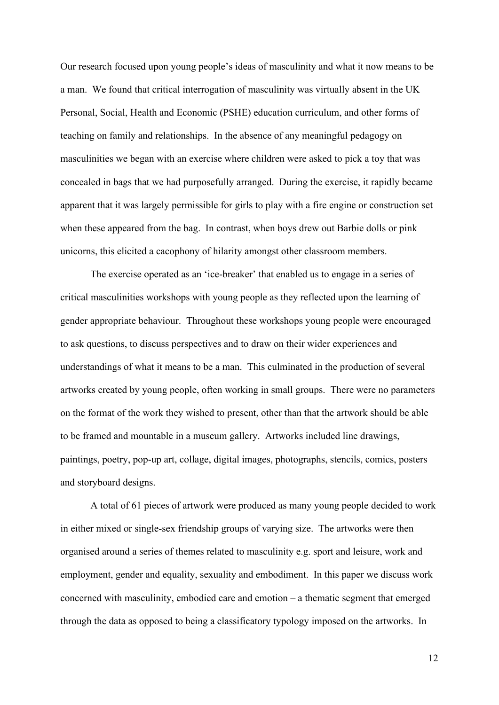Our research focused upon young people's ideas of masculinity and what it now means to be a man. We found that critical interrogation of masculinity was virtually absent in the UK Personal, Social, Health and Economic (PSHE) education curriculum, and other forms of teaching on family and relationships. In the absence of any meaningful pedagogy on masculinities we began with an exercise where children were asked to pick a toy that was concealed in bags that we had purposefully arranged. During the exercise, it rapidly became apparent that it was largely permissible for girls to play with a fire engine or construction set when these appeared from the bag. In contrast, when boys drew out Barbie dolls or pink unicorns, this elicited a cacophony of hilarity amongst other classroom members.

The exercise operated as an 'ice-breaker' that enabled us to engage in a series of critical masculinities workshops with young people as they reflected upon the learning of gender appropriate behaviour. Throughout these workshops young people were encouraged to ask questions, to discuss perspectives and to draw on their wider experiences and understandings of what it means to be a man. This culminated in the production of several artworks created by young people, often working in small groups. There were no parameters on the format of the work they wished to present, other than that the artwork should be able to be framed and mountable in a museum gallery. Artworks included line drawings, paintings, poetry, pop-up art, collage, digital images, photographs, stencils, comics, posters and storyboard designs.

A total of 61 pieces of artwork were produced as many young people decided to work in either mixed or single-sex friendship groups of varying size. The artworks were then organised around a series of themes related to masculinity e.g. sport and leisure, work and employment, gender and equality, sexuality and embodiment. In this paper we discuss work concerned with masculinity, embodied care and emotion – a thematic segment that emerged through the data as opposed to being a classificatory typology imposed on the artworks. In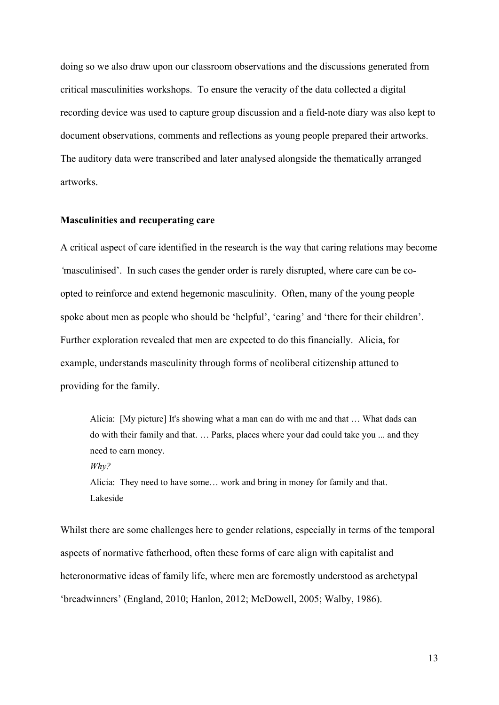doing so we also draw upon our classroom observations and the discussions generated from critical masculinities workshops. To ensure the veracity of the data collected a digital recording device was used to capture group discussion and a field-note diary was also kept to document observations, comments and reflections as young people prepared their artworks. The auditory data were transcribed and later analysed alongside the thematically arranged artworks.

#### **Masculinities and recuperating care**

A critical aspect of care identified in the research is the way that caring relations may become *'*masculinised'. In such cases the gender order is rarely disrupted, where care can be coopted to reinforce and extend hegemonic masculinity. Often, many of the young people spoke about men as people who should be 'helpful', 'caring' and 'there for their children'. Further exploration revealed that men are expected to do this financially. Alicia, for example, understands masculinity through forms of neoliberal citizenship attuned to providing for the family.

Alicia: [My picture] It's showing what a man can do with me and that … What dads can do with their family and that. … Parks, places where your dad could take you ... and they need to earn money. *Why?* Alicia: They need to have some… work and bring in money for family and that.

Lakeside

Whilst there are some challenges here to gender relations, especially in terms of the temporal aspects of normative fatherhood, often these forms of care align with capitalist and heteronormative ideas of family life, where men are foremostly understood as archetypal 'breadwinners' (England, 2010; Hanlon, 2012; McDowell, 2005; Walby, 1986).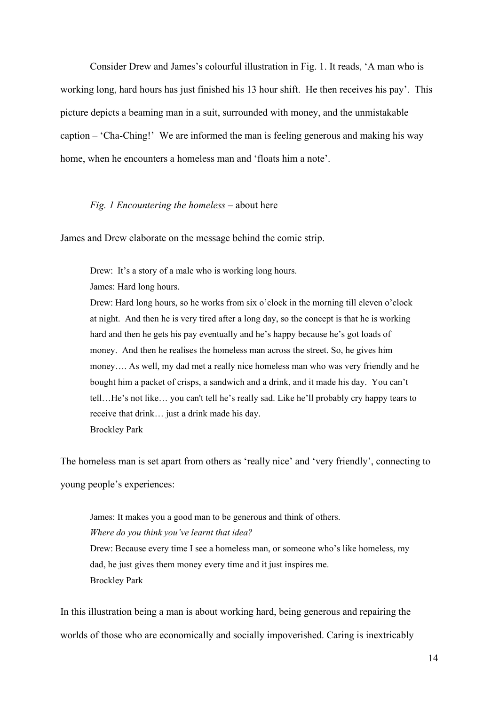Consider Drew and James's colourful illustration in Fig. 1. It reads, 'A man who is working long, hard hours has just finished his 13 hour shift. He then receives his pay'. This picture depicts a beaming man in a suit, surrounded with money, and the unmistakable caption – 'Cha-Ching!' We are informed the man is feeling generous and making his way home, when he encounters a homeless man and 'floats him a note'.

#### *Fig. 1 Encountering the homeless* – about here

James and Drew elaborate on the message behind the comic strip.

Drew: It's a story of a male who is working long hours.

James: Hard long hours.

Drew: Hard long hours, so he works from six o'clock in the morning till eleven o'clock at night. And then he is very tired after a long day, so the concept is that he is working hard and then he gets his pay eventually and he's happy because he's got loads of money. And then he realises the homeless man across the street. So, he gives him money…. As well, my dad met a really nice homeless man who was very friendly and he bought him a packet of crisps, a sandwich and a drink, and it made his day. You can't tell…He's not like… you can't tell he's really sad. Like he'll probably cry happy tears to receive that drink… just a drink made his day. Brockley Park

The homeless man is set apart from others as 'really nice' and 'very friendly', connecting to young people's experiences:

James: It makes you a good man to be generous and think of others. *Where do you think you've learnt that idea?*  Drew: Because every time I see a homeless man, or someone who's like homeless, my dad, he just gives them money every time and it just inspires me. Brockley Park

In this illustration being a man is about working hard, being generous and repairing the worlds of those who are economically and socially impoverished. Caring is inextricably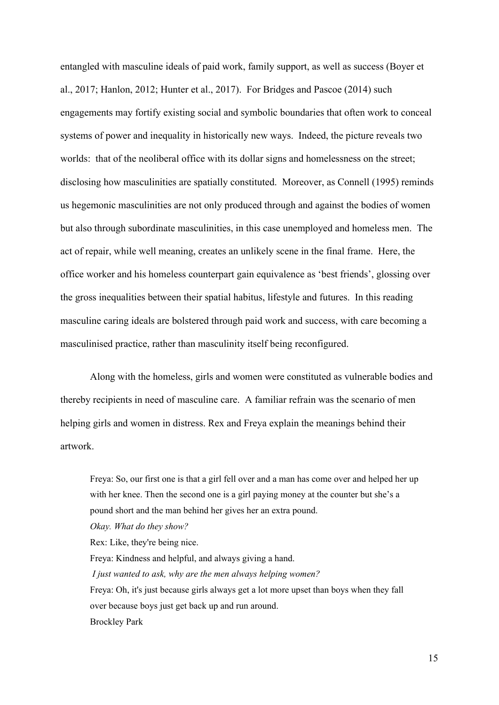entangled with masculine ideals of paid work, family support, as well as success (Boyer et al., 2017; Hanlon, 2012; Hunter et al., 2017). For Bridges and Pascoe (2014) such engagements may fortify existing social and symbolic boundaries that often work to conceal systems of power and inequality in historically new ways. Indeed, the picture reveals two worlds: that of the neoliberal office with its dollar signs and homelessness on the street; disclosing how masculinities are spatially constituted. Moreover, as Connell (1995) reminds us hegemonic masculinities are not only produced through and against the bodies of women but also through subordinate masculinities, in this case unemployed and homeless men. The act of repair, while well meaning, creates an unlikely scene in the final frame. Here, the office worker and his homeless counterpart gain equivalence as 'best friends', glossing over the gross inequalities between their spatial habitus, lifestyle and futures. In this reading masculine caring ideals are bolstered through paid work and success, with care becoming a masculinised practice, rather than masculinity itself being reconfigured.

Along with the homeless, girls and women were constituted as vulnerable bodies and thereby recipients in need of masculine care. A familiar refrain was the scenario of men helping girls and women in distress. Rex and Freya explain the meanings behind their artwork.

Freya: So, our first one is that a girl fell over and a man has come over and helped her up with her knee. Then the second one is a girl paying money at the counter but she's a pound short and the man behind her gives her an extra pound. *Okay. What do they show?* Rex: Like, they're being nice. Freya: Kindness and helpful, and always giving a hand. *I just wanted to ask, why are the men always helping women?* Freya: Oh, it's just because girls always get a lot more upset than boys when they fall over because boys just get back up and run around. Brockley Park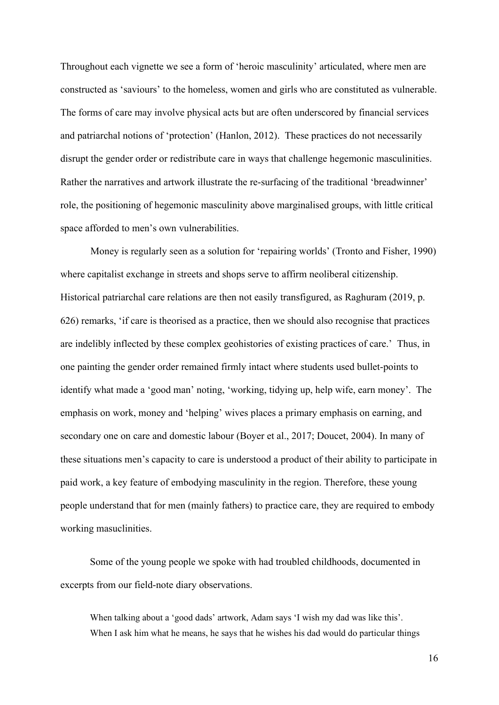Throughout each vignette we see a form of 'heroic masculinity' articulated, where men are constructed as 'saviours' to the homeless, women and girls who are constituted as vulnerable. The forms of care may involve physical acts but are often underscored by financial services and patriarchal notions of 'protection' (Hanlon, 2012). These practices do not necessarily disrupt the gender order or redistribute care in ways that challenge hegemonic masculinities. Rather the narratives and artwork illustrate the re-surfacing of the traditional 'breadwinner' role, the positioning of hegemonic masculinity above marginalised groups, with little critical space afforded to men's own vulnerabilities.

Money is regularly seen as a solution for 'repairing worlds' (Tronto and Fisher, 1990) where capitalist exchange in streets and shops serve to affirm neoliberal citizenship. Historical patriarchal care relations are then not easily transfigured, as Raghuram (2019, p. 626) remarks, 'if care is theorised as a practice, then we should also recognise that practices are indelibly inflected by these complex geohistories of existing practices of care.' Thus, in one painting the gender order remained firmly intact where students used bullet-points to identify what made a 'good man' noting, 'working, tidying up, help wife, earn money'. The emphasis on work, money and 'helping' wives places a primary emphasis on earning, and secondary one on care and domestic labour (Boyer et al., 2017; Doucet, 2004). In many of these situations men's capacity to care is understood a product of their ability to participate in paid work, a key feature of embodying masculinity in the region. Therefore, these young people understand that for men (mainly fathers) to practice care, they are required to embody working masuclinities.

Some of the young people we spoke with had troubled childhoods, documented in excerpts from our field-note diary observations.

When talking about a 'good dads' artwork, Adam says 'I wish my dad was like this'. When I ask him what he means, he says that he wishes his dad would do particular things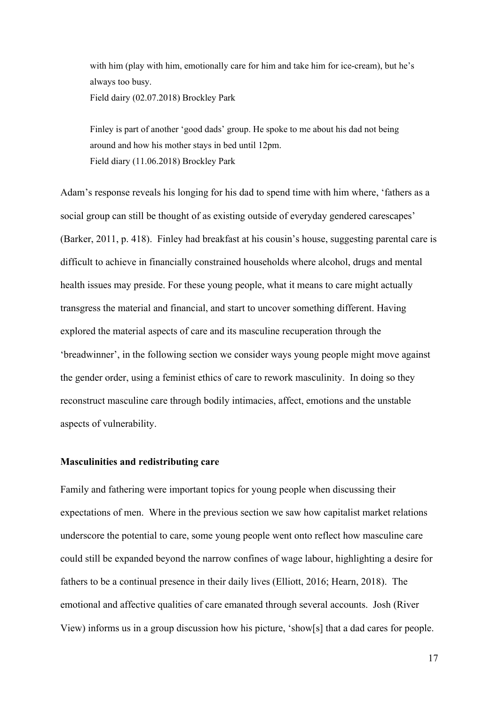with him (play with him, emotionally care for him and take him for ice-cream), but he's always too busy. Field dairy (02.07.2018) Brockley Park

Finley is part of another 'good dads' group. He spoke to me about his dad not being around and how his mother stays in bed until 12pm. Field diary (11.06.2018) Brockley Park

Adam's response reveals his longing for his dad to spend time with him where, 'fathers as a social group can still be thought of as existing outside of everyday gendered carescapes' (Barker, 2011, p. 418). Finley had breakfast at his cousin's house, suggesting parental care is difficult to achieve in financially constrained households where alcohol, drugs and mental health issues may preside. For these young people, what it means to care might actually transgress the material and financial, and start to uncover something different. Having explored the material aspects of care and its masculine recuperation through the 'breadwinner', in the following section we consider ways young people might move against the gender order, using a feminist ethics of care to rework masculinity. In doing so they reconstruct masculine care through bodily intimacies, affect, emotions and the unstable aspects of vulnerability.

#### **Masculinities and redistributing care**

Family and fathering were important topics for young people when discussing their expectations of men. Where in the previous section we saw how capitalist market relations underscore the potential to care, some young people went onto reflect how masculine care could still be expanded beyond the narrow confines of wage labour, highlighting a desire for fathers to be a continual presence in their daily lives (Elliott, 2016; Hearn, 2018). The emotional and affective qualities of care emanated through several accounts. Josh (River View) informs us in a group discussion how his picture, 'show[s] that a dad cares for people.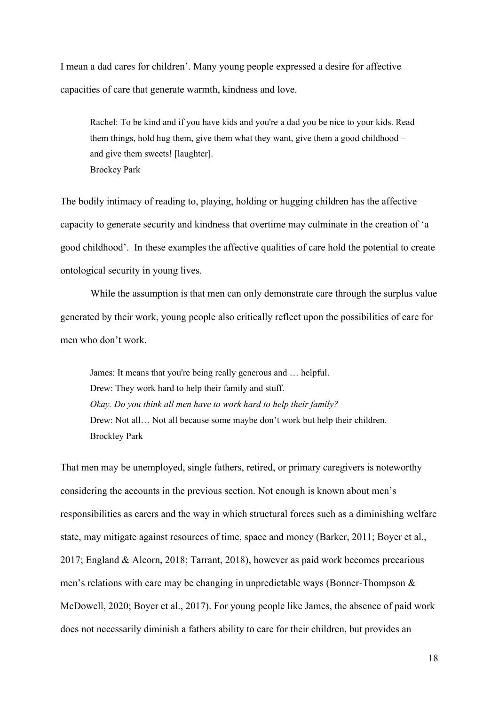I mean a dad cares for children'. Many young people expressed a desire for affective capacities of care that generate warmth, kindness and love.

Rachel: To be kind and if you have kids and you're a dad you be nice to your kids. Read them things, hold hug them, give them what they want, give them a good childhood – and give them sweets! [laughter]. Brockey Park

The bodily intimacy of reading to, playing, holding or hugging children has the affective capacity to generate security and kindness that overtime may culminate in the creation of 'a good childhood'. In these examples the affective qualities of care hold the potential to create ontological security in young lives.

While the assumption is that men can only demonstrate care through the surplus value generated by their work, young people also critically reflect upon the possibilities of care for men who don't work.

James: It means that you're being really generous and … helpful. Drew: They work hard to help their family and stuff. *Okay. Do you think all men have to work hard to help their family?* Drew: Not all… Not all because some maybe don't work but help their children. Brockley Park

That men may be unemployed, single fathers, retired, or primary caregivers is noteworthy considering the accounts in the previous section. Not enough is known about men's responsibilities as carers and the way in which structural forces such as a diminishing welfare state, may mitigate against resources of time, space and money (Barker, 2011; Boyer et al., 2017; England & Alcorn, 2018; Tarrant, 2018), however as paid work becomes precarious men's relations with care may be changing in unpredictable ways (Bonner-Thompson & McDowell, 2020; Boyer et al., 2017). For young people like James, the absence of paid work does not necessarily diminish a fathers ability to care for their children, but provides an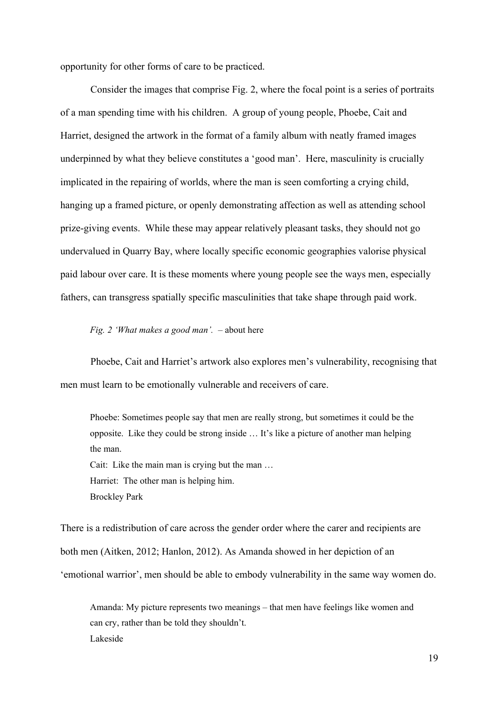opportunity for other forms of care to be practiced.

Consider the images that comprise Fig. 2, where the focal point is a series of portraits of a man spending time with his children. A group of young people, Phoebe, Cait and Harriet, designed the artwork in the format of a family album with neatly framed images underpinned by what they believe constitutes a 'good man'. Here, masculinity is crucially implicated in the repairing of worlds, where the man is seen comforting a crying child, hanging up a framed picture, or openly demonstrating affection as well as attending school prize-giving events. While these may appear relatively pleasant tasks, they should not go undervalued in Quarry Bay, where locally specific economic geographies valorise physical paid labour over care. It is these moments where young people see the ways men, especially fathers, can transgress spatially specific masculinities that take shape through paid work.

*Fig. 2 'What makes a good man'.* – about here

Phoebe, Cait and Harriet's artwork also explores men's vulnerability, recognising that men must learn to be emotionally vulnerable and receivers of care.

Phoebe: Sometimes people say that men are really strong, but sometimes it could be the opposite. Like they could be strong inside … It's like a picture of another man helping the man. Cait: Like the main man is crying but the man … Harriet: The other man is helping him. Brockley Park

There is a redistribution of care across the gender order where the carer and recipients are both men (Aitken, 2012; Hanlon, 2012). As Amanda showed in her depiction of an 'emotional warrior', men should be able to embody vulnerability in the same way women do.

Amanda: My picture represents two meanings – that men have feelings like women and can cry, rather than be told they shouldn't. Lakeside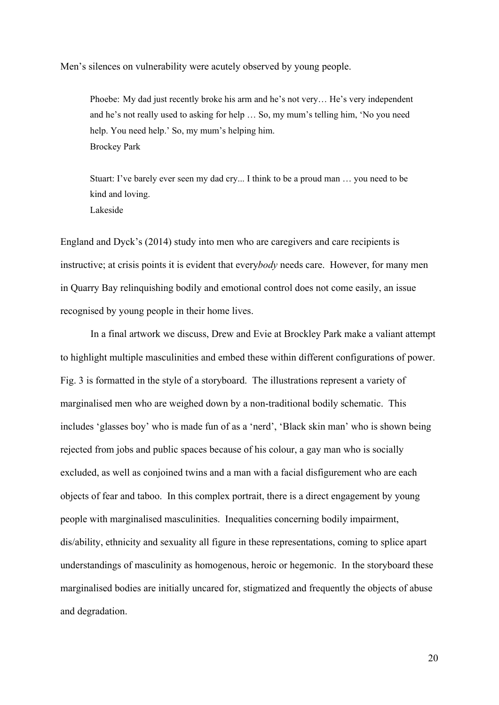Men's silences on vulnerability were acutely observed by young people.

Phoebe: My dad just recently broke his arm and he's not very… He's very independent and he's not really used to asking for help … So, my mum's telling him, 'No you need help. You need help.' So, my mum's helping him. Brockey Park

Stuart: I've barely ever seen my dad cry... I think to be a proud man … you need to be kind and loving. Lakeside

England and Dyck's (2014) study into men who are caregivers and care recipients is instructive; at crisis points it is evident that every*body* needs care. However, for many men in Quarry Bay relinquishing bodily and emotional control does not come easily, an issue recognised by young people in their home lives.

In a final artwork we discuss, Drew and Evie at Brockley Park make a valiant attempt to highlight multiple masculinities and embed these within different configurations of power. Fig. 3 is formatted in the style of a storyboard. The illustrations represent a variety of marginalised men who are weighed down by a non-traditional bodily schematic. This includes 'glasses boy' who is made fun of as a 'nerd', 'Black skin man' who is shown being rejected from jobs and public spaces because of his colour, a gay man who is socially excluded, as well as conjoined twins and a man with a facial disfigurement who are each objects of fear and taboo. In this complex portrait, there is a direct engagement by young people with marginalised masculinities. Inequalities concerning bodily impairment, dis/ability, ethnicity and sexuality all figure in these representations, coming to splice apart understandings of masculinity as homogenous, heroic or hegemonic. In the storyboard these marginalised bodies are initially uncared for, stigmatized and frequently the objects of abuse and degradation.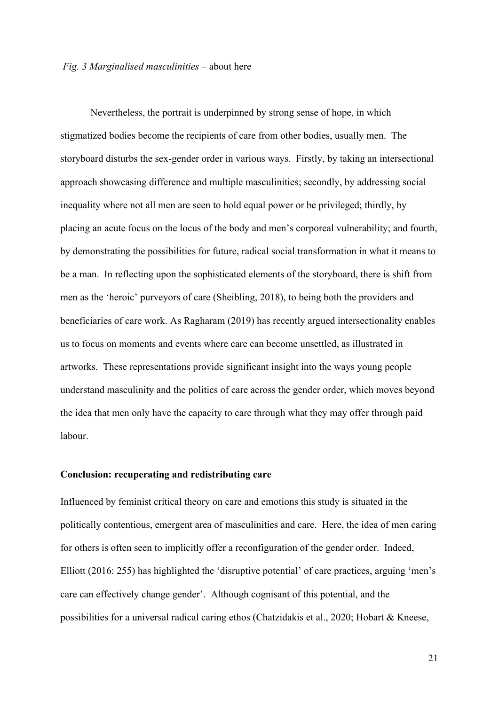Nevertheless, the portrait is underpinned by strong sense of hope, in which stigmatized bodies become the recipients of care from other bodies, usually men. The storyboard disturbs the sex-gender order in various ways. Firstly, by taking an intersectional approach showcasing difference and multiple masculinities; secondly, by addressing social inequality where not all men are seen to hold equal power or be privileged; thirdly, by placing an acute focus on the locus of the body and men's corporeal vulnerability; and fourth, by demonstrating the possibilities for future, radical social transformation in what it means to be a man. In reflecting upon the sophisticated elements of the storyboard, there is shift from men as the 'heroic' purveyors of care (Sheibling, 2018), to being both the providers and beneficiaries of care work. As Ragharam (2019) has recently argued intersectionality enables us to focus on moments and events where care can become unsettled, as illustrated in artworks. These representations provide significant insight into the ways young people understand masculinity and the politics of care across the gender order, which moves beyond the idea that men only have the capacity to care through what they may offer through paid labour.

#### **Conclusion: recuperating and redistributing care**

Influenced by feminist critical theory on care and emotions this study is situated in the politically contentious, emergent area of masculinities and care. Here, the idea of men caring for others is often seen to implicitly offer a reconfiguration of the gender order. Indeed, Elliott (2016: 255) has highlighted the 'disruptive potential' of care practices, arguing 'men's care can effectively change gender'. Although cognisant of this potential, and the possibilities for a universal radical caring ethos (Chatzidakis et al., 2020; Hobart & Kneese,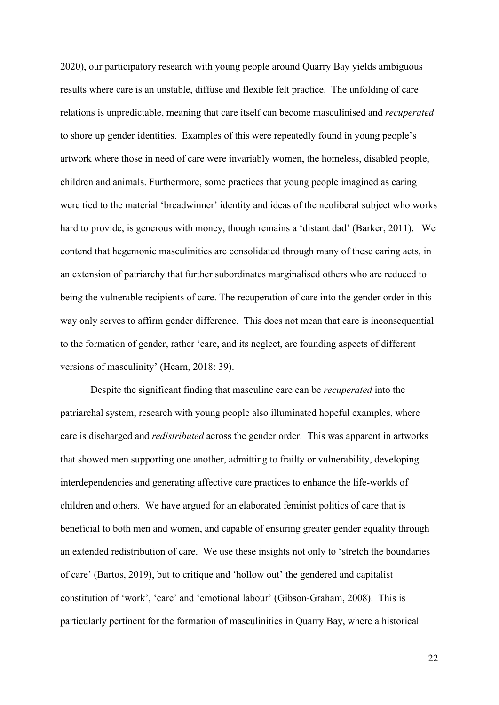2020), our participatory research with young people around Quarry Bay yields ambiguous results where care is an unstable, diffuse and flexible felt practice. The unfolding of care relations is unpredictable, meaning that care itself can become masculinised and *recuperated* to shore up gender identities. Examples of this were repeatedly found in young people's artwork where those in need of care were invariably women, the homeless, disabled people, children and animals. Furthermore, some practices that young people imagined as caring were tied to the material 'breadwinner' identity and ideas of the neoliberal subject who works hard to provide, is generous with money, though remains a 'distant dad' (Barker, 2011). We contend that hegemonic masculinities are consolidated through many of these caring acts, in an extension of patriarchy that further subordinates marginalised others who are reduced to being the vulnerable recipients of care. The recuperation of care into the gender order in this way only serves to affirm gender difference. This does not mean that care is inconsequential to the formation of gender, rather 'care, and its neglect, are founding aspects of different versions of masculinity' (Hearn, 2018: 39).

Despite the significant finding that masculine care can be *recuperated* into the patriarchal system, research with young people also illuminated hopeful examples, where care is discharged and *redistributed* across the gender order. This was apparent in artworks that showed men supporting one another, admitting to frailty or vulnerability, developing interdependencies and generating affective care practices to enhance the life-worlds of children and others. We have argued for an elaborated feminist politics of care that is beneficial to both men and women, and capable of ensuring greater gender equality through an extended redistribution of care. We use these insights not only to 'stretch the boundaries of care' (Bartos, 2019), but to critique and 'hollow out' the gendered and capitalist constitution of 'work', 'care' and 'emotional labour' (Gibson-Graham, 2008). This is particularly pertinent for the formation of masculinities in Quarry Bay, where a historical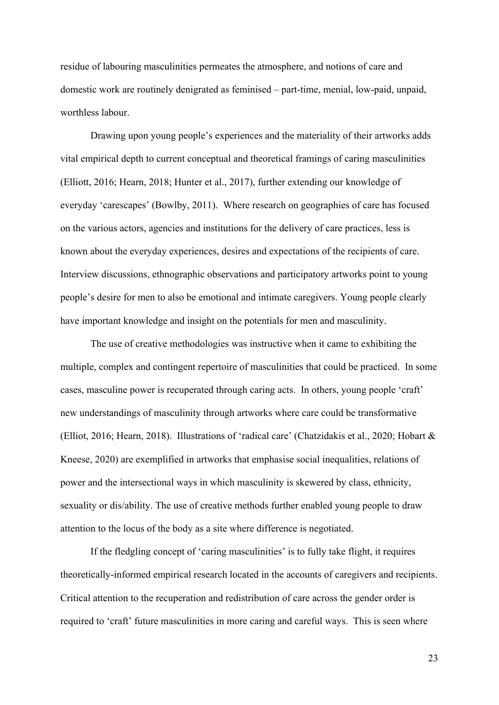residue of labouring masculinities permeates the atmosphere, and notions of care and domestic work are routinely denigrated as feminised – part-time, menial, low-paid, unpaid, worthless labour.

Drawing upon young people's experiences and the materiality of their artworks adds vital empirical depth to current conceptual and theoretical framings of caring masculinities (Elliott, 2016; Hearn, 2018; Hunter et al., 2017), further extending our knowledge of everyday 'carescapes' (Bowlby, 2011). Where research on geographies of care has focused on the various actors, agencies and institutions for the delivery of care practices, less is known about the everyday experiences, desires and expectations of the recipients of care. Interview discussions, ethnographic observations and participatory artworks point to young people's desire for men to also be emotional and intimate caregivers. Young people clearly have important knowledge and insight on the potentials for men and masculinity.

The use of creative methodologies was instructive when it came to exhibiting the multiple, complex and contingent repertoire of masculinities that could be practiced. In some cases, masculine power is recuperated through caring acts. In others, young people 'craft' new understandings of masculinity through artworks where care could be transformative (Elliot, 2016; Hearn, 2018). Illustrations of 'radical care' (Chatzidakis et al., 2020; Hobart & Kneese, 2020) are exemplified in artworks that emphasise social inequalities, relations of power and the intersectional ways in which masculinity is skewered by class, ethnicity, sexuality or dis/ability. The use of creative methods further enabled young people to draw attention to the locus of the body as a site where difference is negotiated.

If the fledgling concept of 'caring masculinities' is to fully take flight, it requires theoretically-informed empirical research located in the accounts of caregivers and recipients. Critical attention to the recuperation and redistribution of care across the gender order is required to 'craft' future masculinities in more caring and careful ways. This is seen where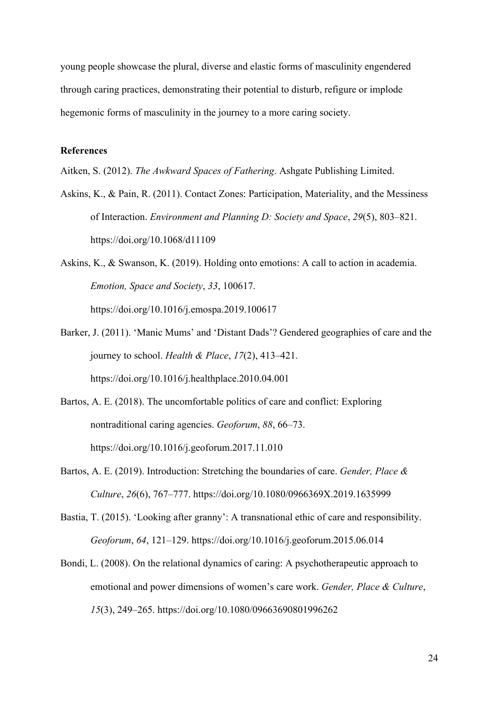young people showcase the plural, diverse and elastic forms of masculinity engendered through caring practices, demonstrating their potential to disturb, refigure or implode hegemonic forms of masculinity in the journey to a more caring society.

#### **References**

Aitken, S. (2012). *The Awkward Spaces of Fathering*. Ashgate Publishing Limited.

- Askins, K., & Pain, R. (2011). Contact Zones: Participation, Materiality, and the Messiness of Interaction. *Environment and Planning D: Society and Space*, *29*(5), 803–821. https://doi.org/10.1068/d11109
- Askins, K., & Swanson, K. (2019). Holding onto emotions: A call to action in academia. *Emotion, Space and Society*, *33*, 100617. https://doi.org/10.1016/j.emospa.2019.100617
- Barker, J. (2011). 'Manic Mums' and 'Distant Dads'? Gendered geographies of care and the journey to school. *Health & Place*, *17*(2), 413–421. https://doi.org/10.1016/j.healthplace.2010.04.001
- Bartos, A. E. (2018). The uncomfortable politics of care and conflict: Exploring nontraditional caring agencies. *Geoforum*, *88*, 66–73. https://doi.org/10.1016/j.geoforum.2017.11.010
- Bartos, A. E. (2019). Introduction: Stretching the boundaries of care. *Gender, Place & Culture*, *26*(6), 767–777. https://doi.org/10.1080/0966369X.2019.1635999
- Bastia, T. (2015). 'Looking after granny': A transnational ethic of care and responsibility. *Geoforum*, *64*, 121–129. https://doi.org/10.1016/j.geoforum.2015.06.014
- Bondi, L. (2008). On the relational dynamics of caring: A psychotherapeutic approach to emotional and power dimensions of women's care work. *Gender, Place & Culture*, *15*(3), 249–265. https://doi.org/10.1080/09663690801996262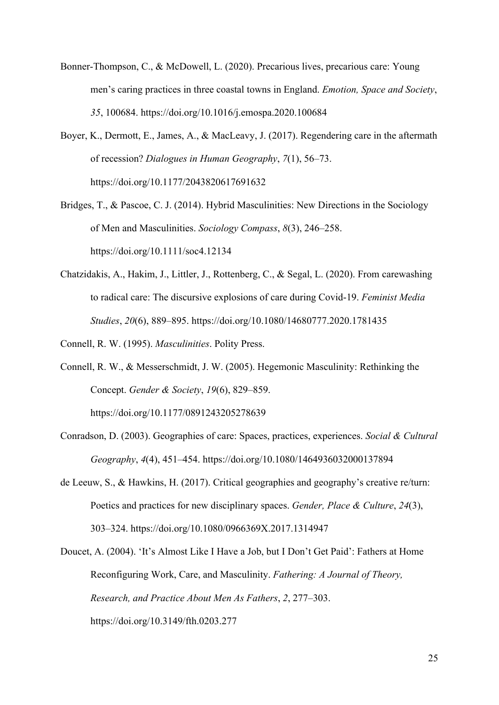- Bonner-Thompson, C., & McDowell, L. (2020). Precarious lives, precarious care: Young men's caring practices in three coastal towns in England. *Emotion, Space and Society*, *35*, 100684. https://doi.org/10.1016/j.emospa.2020.100684
- Boyer, K., Dermott, E., James, A., & MacLeavy, J. (2017). Regendering care in the aftermath of recession? *Dialogues in Human Geography*, *7*(1), 56–73. https://doi.org/10.1177/2043820617691632
- Bridges, T., & Pascoe, C. J. (2014). Hybrid Masculinities: New Directions in the Sociology of Men and Masculinities. *Sociology Compass*, *8*(3), 246–258. https://doi.org/10.1111/soc4.12134
- Chatzidakis, A., Hakim, J., Littler, J., Rottenberg, C., & Segal, L. (2020). From carewashing to radical care: The discursive explosions of care during Covid-19. *Feminist Media Studies*, *20*(6), 889–895. https://doi.org/10.1080/14680777.2020.1781435

Connell, R. W. (1995). *Masculinities*. Polity Press.

Connell, R. W., & Messerschmidt, J. W. (2005). Hegemonic Masculinity: Rethinking the Concept. *Gender & Society*, *19*(6), 829–859.

https://doi.org/10.1177/0891243205278639

- Conradson, D. (2003). Geographies of care: Spaces, practices, experiences. *Social & Cultural Geography*, *4*(4), 451–454. https://doi.org/10.1080/1464936032000137894
- de Leeuw, S., & Hawkins, H. (2017). Critical geographies and geography's creative re/turn: Poetics and practices for new disciplinary spaces. *Gender, Place & Culture*, *24*(3), 303–324. https://doi.org/10.1080/0966369X.2017.1314947
- Doucet, A. (2004). 'It's Almost Like I Have a Job, but I Don't Get Paid': Fathers at Home Reconfiguring Work, Care, and Masculinity. *Fathering: A Journal of Theory, Research, and Practice About Men As Fathers*, *2*, 277–303. https://doi.org/10.3149/fth.0203.277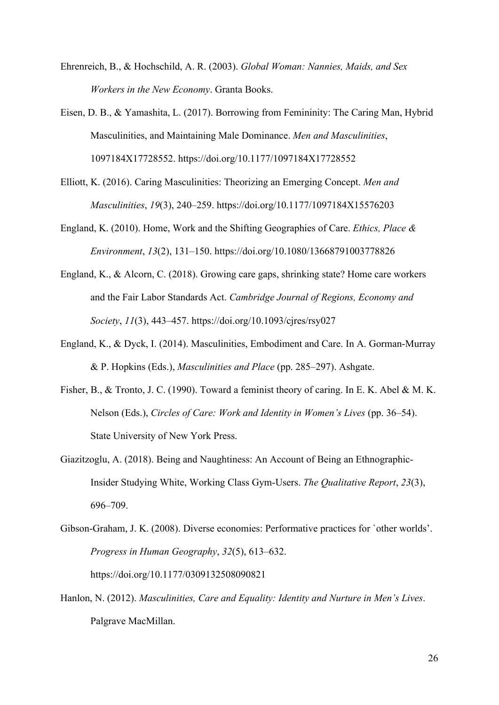- Ehrenreich, B., & Hochschild, A. R. (2003). *Global Woman: Nannies, Maids, and Sex Workers in the New Economy*. Granta Books.
- Eisen, D. B., & Yamashita, L. (2017). Borrowing from Femininity: The Caring Man, Hybrid Masculinities, and Maintaining Male Dominance. *Men and Masculinities*, 1097184X17728552. https://doi.org/10.1177/1097184X17728552
- Elliott, K. (2016). Caring Masculinities: Theorizing an Emerging Concept. *Men and Masculinities*, *19*(3), 240–259. https://doi.org/10.1177/1097184X15576203
- England, K. (2010). Home, Work and the Shifting Geographies of Care. *Ethics, Place & Environment*, *13*(2), 131–150. https://doi.org/10.1080/13668791003778826
- England, K., & Alcorn, C. (2018). Growing care gaps, shrinking state? Home care workers and the Fair Labor Standards Act. *Cambridge Journal of Regions, Economy and Society*, *11*(3), 443–457. https://doi.org/10.1093/cjres/rsy027
- England, K., & Dyck, I. (2014). Masculinities, Embodiment and Care. In A. Gorman-Murray & P. Hopkins (Eds.), *Masculinities and Place* (pp. 285–297). Ashgate.
- Fisher, B., & Tronto, J. C. (1990). Toward a feminist theory of caring. In E. K. Abel & M. K. Nelson (Eds.), *Circles of Care: Work and Identity in Women's Lives* (pp. 36–54). State University of New York Press.
- Giazitzoglu, A. (2018). Being and Naughtiness: An Account of Being an Ethnographic-Insider Studying White, Working Class Gym-Users. *The Qualitative Report*, *23*(3), 696–709.
- Gibson-Graham, J. K. (2008). Diverse economies: Performative practices for `other worlds'. *Progress in Human Geography*, *32*(5), 613–632. https://doi.org/10.1177/0309132508090821
- Hanlon, N. (2012). *Masculinities, Care and Equality: Identity and Nurture in Men's Lives*. Palgrave MacMillan.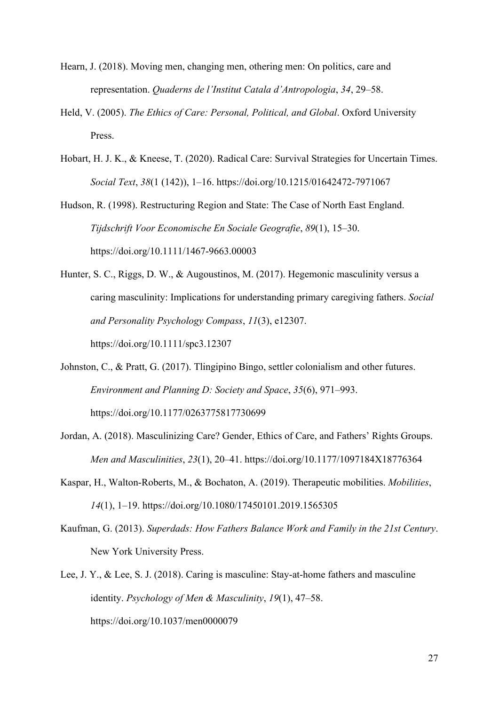- Hearn, J. (2018). Moving men, changing men, othering men: On politics, care and representation. *Quaderns de l'Institut Catala d'Antropologia*, *34*, 29–58.
- Held, V. (2005). *The Ethics of Care: Personal, Political, and Global*. Oxford University Press.
- Hobart, H. J. K., & Kneese, T. (2020). Radical Care: Survival Strategies for Uncertain Times. *Social Text*, *38*(1 (142)), 1–16. https://doi.org/10.1215/01642472-7971067
- Hudson, R. (1998). Restructuring Region and State: The Case of North East England. *Tijdschrift Voor Economische En Sociale Geografie*, *89*(1), 15–30. https://doi.org/10.1111/1467-9663.00003
- Hunter, S. C., Riggs, D. W., & Augoustinos, M. (2017). Hegemonic masculinity versus a caring masculinity: Implications for understanding primary caregiving fathers. *Social and Personality Psychology Compass*, *11*(3), e12307. https://doi.org/10.1111/spc3.12307
- Johnston, C., & Pratt, G. (2017). Tlingipino Bingo, settler colonialism and other futures. *Environment and Planning D: Society and Space*, *35*(6), 971–993. https://doi.org/10.1177/0263775817730699
- Jordan, A. (2018). Masculinizing Care? Gender, Ethics of Care, and Fathers' Rights Groups. *Men and Masculinities*, *23*(1), 20–41. https://doi.org/10.1177/1097184X18776364
- Kaspar, H., Walton-Roberts, M., & Bochaton, A. (2019). Therapeutic mobilities. *Mobilities*, *14*(1), 1–19. https://doi.org/10.1080/17450101.2019.1565305
- Kaufman, G. (2013). *Superdads: How Fathers Balance Work and Family in the 21st Century*. New York University Press.
- Lee, J. Y., & Lee, S. J. (2018). Caring is masculine: Stay-at-home fathers and masculine identity. *Psychology of Men & Masculinity*, *19*(1), 47–58. https://doi.org/10.1037/men0000079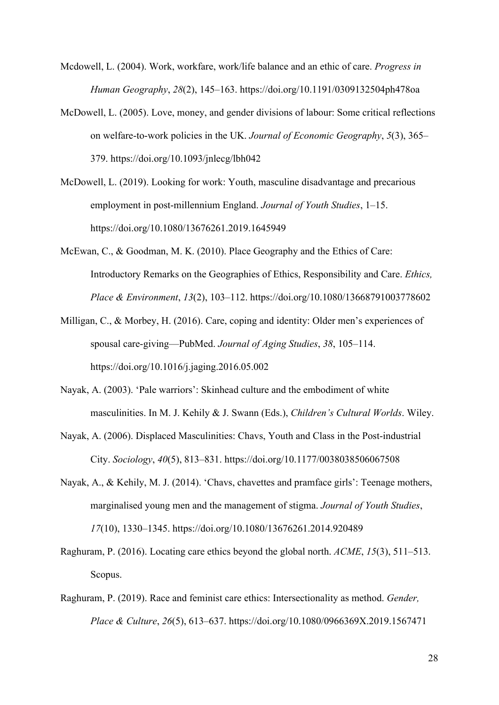- Mcdowell, L. (2004). Work, workfare, work/life balance and an ethic of care. *Progress in Human Geography*, *28*(2), 145–163. https://doi.org/10.1191/0309132504ph478oa
- McDowell, L. (2005). Love, money, and gender divisions of labour: Some critical reflections on welfare-to-work policies in the UK. *Journal of Economic Geography*, *5*(3), 365– 379. https://doi.org/10.1093/jnlecg/lbh042
- McDowell, L. (2019). Looking for work: Youth, masculine disadvantage and precarious employment in post-millennium England. *Journal of Youth Studies*, 1–15. https://doi.org/10.1080/13676261.2019.1645949
- McEwan, C., & Goodman, M. K. (2010). Place Geography and the Ethics of Care: Introductory Remarks on the Geographies of Ethics, Responsibility and Care. *Ethics, Place & Environment*, *13*(2), 103–112. https://doi.org/10.1080/13668791003778602
- Milligan, C., & Morbey, H. (2016). Care, coping and identity: Older men's experiences of spousal care-giving—PubMed. *Journal of Aging Studies*, *38*, 105–114. https://doi.org/10.1016/j.jaging.2016.05.002
- Nayak, A. (2003). 'Pale warriors': Skinhead culture and the embodiment of white masculinities. In M. J. Kehily & J. Swann (Eds.), *Children's Cultural Worlds*. Wiley.
- Nayak, A. (2006). Displaced Masculinities: Chavs, Youth and Class in the Post-industrial City. *Sociology*, *40*(5), 813–831. https://doi.org/10.1177/0038038506067508
- Nayak, A., & Kehily, M. J. (2014). 'Chavs, chavettes and pramface girls': Teenage mothers, marginalised young men and the management of stigma. *Journal of Youth Studies*, *17*(10), 1330–1345. https://doi.org/10.1080/13676261.2014.920489
- Raghuram, P. (2016). Locating care ethics beyond the global north. *ACME*, *15*(3), 511–513. Scopus.
- Raghuram, P. (2019). Race and feminist care ethics: Intersectionality as method. *Gender, Place & Culture*, *26*(5), 613–637. https://doi.org/10.1080/0966369X.2019.1567471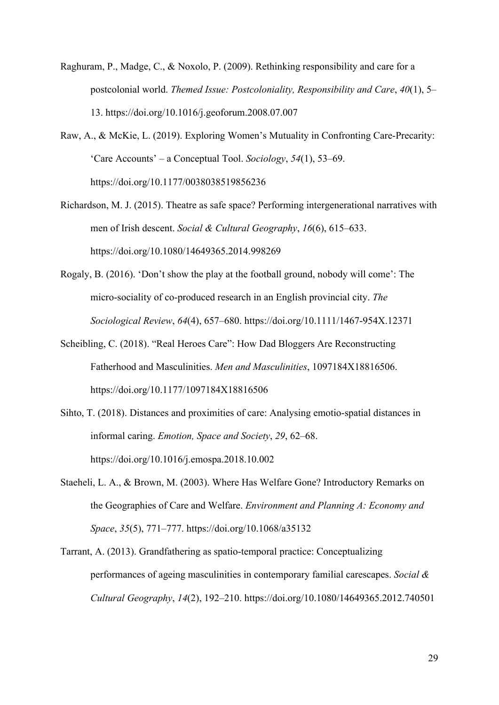- Raghuram, P., Madge, C., & Noxolo, P. (2009). Rethinking responsibility and care for a postcolonial world. *Themed Issue: Postcoloniality, Responsibility and Care*, *40*(1), 5– 13. https://doi.org/10.1016/j.geoforum.2008.07.007
- Raw, A., & McKie, L. (2019). Exploring Women's Mutuality in Confronting Care-Precarity: 'Care Accounts' – a Conceptual Tool. *Sociology*, *54*(1), 53–69. https://doi.org/10.1177/0038038519856236
- Richardson, M. J. (2015). Theatre as safe space? Performing intergenerational narratives with men of Irish descent. *Social & Cultural Geography*, *16*(6), 615–633. https://doi.org/10.1080/14649365.2014.998269
- Rogaly, B. (2016). 'Don't show the play at the football ground, nobody will come': The micro-sociality of co-produced research in an English provincial city. *The Sociological Review*, *64*(4), 657–680. https://doi.org/10.1111/1467-954X.12371
- Scheibling, C. (2018). "Real Heroes Care": How Dad Bloggers Are Reconstructing Fatherhood and Masculinities. *Men and Masculinities*, 1097184X18816506. https://doi.org/10.1177/1097184X18816506
- Sihto, T. (2018). Distances and proximities of care: Analysing emotio-spatial distances in informal caring. *Emotion, Space and Society*, *29*, 62–68. https://doi.org/10.1016/j.emospa.2018.10.002
- Staeheli, L. A., & Brown, M. (2003). Where Has Welfare Gone? Introductory Remarks on the Geographies of Care and Welfare. *Environment and Planning A: Economy and Space*, *35*(5), 771–777. https://doi.org/10.1068/a35132
- Tarrant, A. (2013). Grandfathering as spatio-temporal practice: Conceptualizing performances of ageing masculinities in contemporary familial carescapes. *Social & Cultural Geography*, *14*(2), 192–210. https://doi.org/10.1080/14649365.2012.740501